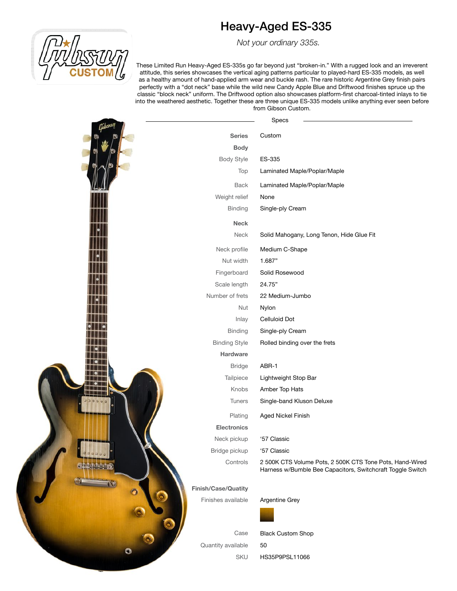# Heavy-Aged ES-335

 *Not your ordinary 335s.*

These Limited Run Heavy-Aged ES-335s go far beyond just "broken-in." With a rugged look and an irreverent attitude, this series showcases the vertical aging patterns particular to played-hard ES-335 models, as well as a healthy amount of hand-applied arm wear and buckle rash. The rare historic Argentine Grey finish pairs perfectly with a "dot neck" base while the wild new Candy Apple Blue and Driftwood finishes spruce up the classic "block neck" uniform. The Driftwood option also showcases platform-first charcoal-tinted inlays to tie into the weathered aesthetic. Together these are three unique ES-335 models unlike anything ever seen before from Gibson Custom.

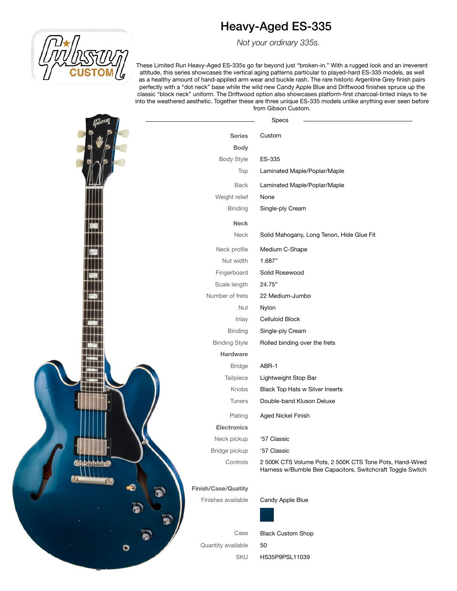# Heavy-Aged ES-335

 *Not your ordinary 335s.*

These Limited Run Heavy-Aged ES-335s go far beyond just "broken-in." With a rugged look and an irreverent attitude, this series showcases the vertical aging patterns particular to played-hard ES-335 models, as well as a healthy amount of hand-applied arm wear and buckle rash. The rare historic Argentine Grey finish pairs perfectly with a "dot neck" base while the wild new Candy Apple Blue and Driftwood finishes spruce up the classic "block neck" uniform. The Driftwood option also showcases platform-first charcoal-tinted inlays to tie into the weathered aesthetic. Together these are three unique ES-335 models unlike anything ever seen before from Gibson Custom.

| :JıstH    |                      | Specs                                                                                                                  |
|-----------|----------------------|------------------------------------------------------------------------------------------------------------------------|
|           | <b>Series</b>        | Custom                                                                                                                 |
|           | <b>Body</b>          |                                                                                                                        |
|           | <b>Body Style</b>    | ES-335                                                                                                                 |
|           | Top                  | Laminated Maple/Poplar/Maple                                                                                           |
|           | <b>Back</b>          | Laminated Maple/Poplar/Maple                                                                                           |
|           | Weight relief        | None                                                                                                                   |
|           | <b>Binding</b>       | Single-ply Cream                                                                                                       |
|           | Neck                 |                                                                                                                        |
|           | Neck                 | Solid Mahogany, Long Tenon, Hide Glue Fit                                                                              |
|           | Neck profile         | Medium C-Shape                                                                                                         |
|           | Nut width            | 1.687"                                                                                                                 |
|           | Fingerboard          | Solid Rosewood                                                                                                         |
|           | Scale length         | 24.75"                                                                                                                 |
|           | Number of frets      | 22 Medium-Jumbo                                                                                                        |
|           | <b>Nut</b>           | Nylon                                                                                                                  |
|           | Inlay                | Celluloid Block                                                                                                        |
|           | <b>Binding</b>       | Single-ply Cream                                                                                                       |
|           | <b>Binding Style</b> | Rolled binding over the frets                                                                                          |
|           | Hardware             |                                                                                                                        |
|           | <b>Bridge</b>        | ABR-1                                                                                                                  |
|           | Tailpiece            | Lightweight Stop Bar                                                                                                   |
|           | Knobs                | Black Top Hats w Silver Inserts                                                                                        |
|           | <b>Tuners</b>        | Double-band Kluson Deluxe                                                                                              |
|           | Plating              | Aged Nickel Finish                                                                                                     |
|           | <b>Electronics</b>   |                                                                                                                        |
|           | Neck pickup          | '57 Classic                                                                                                            |
|           | Bridge pickup        | '57 Classic                                                                                                            |
| duinini . | Controls             | 2 500K CTS Volume Pots, 2 500K CTS Tone Pots, Hand-Wired<br>Harness w/Bumble Bee Capacitors, Switchcraft Toggle Switch |
| Ð         | Finish/Case/Quatity  |                                                                                                                        |
|           | Finishes available   | Candy Apple Blue                                                                                                       |
|           |                      |                                                                                                                        |
|           | Case                 | <b>Black Custom Shop</b>                                                                                               |
| $\bullet$ | Quantity available   | 50                                                                                                                     |
|           | SKU                  | HS35P9PSL11039                                                                                                         |
|           |                      |                                                                                                                        |